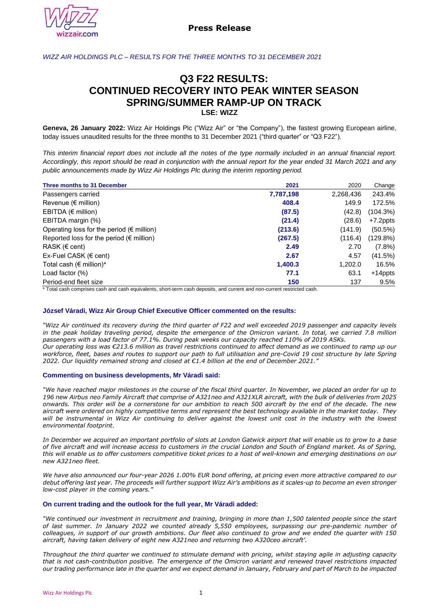

# *WIZZ AIR HOLDINGS PLC – RESULTS FOR THE THREE MONTHS TO 31 DECEMBER 2021*

# **Q3 F22 RESULTS: CONTINUED RECOVERY INTO PEAK WINTER SEASON SPRING/SUMMER RAMP-UP ON TRACK LSE: WIZZ**

**Geneva, 26 January 2022:** Wizz Air Holdings Plc ("Wizz Air" or "the Company"), the fastest growing European airline, today issues unaudited results for the three months to 31 December 2021 ("third quarter" or "Q3 F22").

*This interim financial report does not include all the notes of the type normally included in an annual financial report. Accordingly, this report should be read in conjunction with the annual report for the year ended 31 March 2021 and any public announcements made by Wizz Air Holdings Plc during the interim reporting period.*

| Three months to 31 December                       | 2021      | 2020      | Change     |
|---------------------------------------------------|-----------|-----------|------------|
| Passengers carried                                | 7,787,198 | 2,268,436 | 243.4%     |
| Revenue ( $\notin$ million)                       | 408.4     | 149.9     | 172.5%     |
| EBITDA ( $\epsilon$ million)                      | (87.5)    | (42.8)    | (104.3%)   |
| EBITDA margin (%)                                 | (21.4)    | (28.6)    | +7.2ppts   |
| Operating loss for the period ( $\notin$ million) | (213.6)   | (141.9)   | $(50.5\%)$ |
| Reported loss for the period ( $\notin$ million)  | (267.5)   | (116.4)   | (129.8%)   |
| RASK ( $\epsilon$ cent)                           | 2.49      | 2.70      | $(7.8\%)$  |
| Ex-Fuel CASK ( $\epsilon$ cent)                   | 2.67      | 4.57      | (41.5%)    |
| Total cash ( $\epsilon$ million)*                 | 1,400.3   | 1,202.0   | 16.5%      |
| Load factor $(\%)$                                | 77.1      | 63.1      | $+14$ ppts |
| Period-end fleet size                             | 150       | 137       | 9.5%       |

\* Total cash comprises cash and cash equivalents, short-term cash deposits, and current and non-current restricted cash.

# **József Váradi, Wizz Air Group Chief Executive Officer commented on the results:**

*"Wizz Air continued its recovery during the third quarter of F22 and well exceeded 2019 passenger and capacity levels in the peak holiday traveling period, despite the emergence of the Omicron variant. In total, we carried 7.8 million passengers with a load factor of 77.1%. During peak weeks our capacity reached 110% of 2019 ASKs. Our operating loss was €213.6 million as travel restrictions continued to affect demand as we continued to ramp up our workforce, fleet, bases and routes to support our path to full utilisation and pre-Covid 19 cost structure by late Spring 2022. Our liquidity remained strong and closed at €1.4 billion at the end of December 2021."*

#### **Commenting on business developments, Mr Váradi said:**

*"We have reached major milestones in the course of the fiscal third quarter. In November, we placed an order for up to 196 new Airbus neo Family Aircraft that comprise of A321neo and A321XLR aircraft, with the bulk of deliveries from 2025 onwards. This order will be a cornerstone for our ambition to reach 500 aircraft by the end of the decade. The new aircraft were ordered on highly competitive terms and represent the best technology available in the market today. They will be instrumental in Wizz Air continuing to deliver against the lowest unit cost in the industry with the lowest environmental footprint.*

*In December we acquired an important portfolio of slots at London Gatwick airport that will enable us to grow to a base of five aircraft and will increase access to customers in the crucial London and South of England market. As of Spring, this will enable us to offer customers competitive ticket prices to a host of well-known and emerging destinations on our new A321neo fleet.*

*We have also announced our four-year 2026 1.00% EUR bond offering, at pricing even more attractive compared to our debut offering last year. The proceeds will further support Wizz Air's ambitions as it scales-up to become an even stronger low-cost player in the coming years."*

#### **On current trading and the outlook for the full year, Mr Váradi added:**

*"We continued our investment in recruitment and training, bringing in more than 1,500 talented people since the start of last summer. In January 2022 we counted already 5,550 employees, surpassing our pre-pandemic number of colleagues, in support of our growth ambitions. Our fleet also continued to grow and we ended the quarter with 150 aircraft, having taken delivery of eight new A321neo and returning two A320ceo aircraft'.*

*Throughout the third quarter we continued to stimulate demand with pricing, whilst staying agile in adjusting capacity that is not cash-contribution positive. The emergence of the Omicron variant and renewed travel restrictions impacted our trading performance late in the quarter and we expect demand in January, February and part of March to be impacted*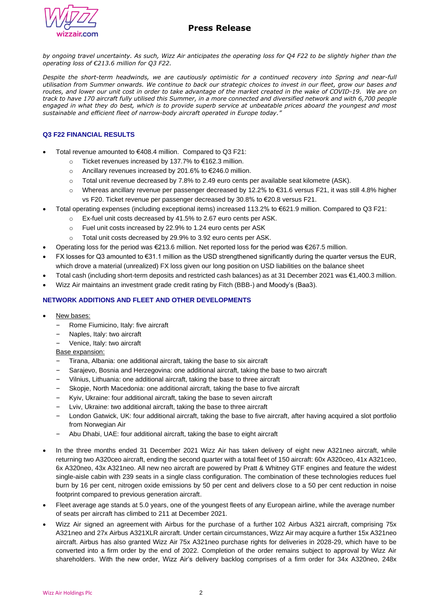

*by ongoing travel uncertainty. As such, Wizz Air anticipates the operating loss for Q4 F22 to be slightly higher than the operating loss of €213.6 million for Q3 F22.*

*Despite the short-term headwinds, we are cautiously optimistic for a continued recovery into Spring and near-full utilisation from Summer onwards. We continue to back our strategic choices to invest in our fleet, grow our bases and routes, and lower our unit cost in order to take advantage of the market created in the wake of COVID-19. We are on track to have 170 aircraft fully utilised this Summer, in a more connected and diversified network and with 6,700 people engaged in what they do best, which is to provide superb service at unbeatable prices aboard the youngest and most sustainable and efficient fleet of narrow-body aircraft operated in Europe today."*

# **Q3 F22 FINANCIAL RESULTS**

- Total revenue amounted to €408.4 million. Compared to Q3 F21:
	- Ticket revenues increased by 137.7% to  $€162.3$  million.
	- o Ancillary revenues increased by 201.6% to €246.0 million.
	- o Total unit revenue decreased by 7.8% to 2.49 euro cents per available seat kilometre (ASK).
	- o Whereas ancillary revenue per passenger decreased by 12.2% to €31.6 versus F21, it was still 4.8% higher vs F20. Ticket revenue per passenger decreased by 30.8% to €20.8 versus F21.
- Total operating expenses (including exceptional items) increased 113.2% to €621.9 million. Compared to Q3 F21:
	- o Ex-fuel unit costs decreased by 41.5% to 2.67 euro cents per ASK.
	- o Fuel unit costs increased by 22.9% to 1.24 euro cents per ASK
	- o Total unit costs decreased by 29.9% to 3.92 euro cents per ASK.
- Operating loss for the period was €213.6 million. Net reported loss for the period was €267.5 million.
- FX losses for Q3 amounted to €31.1 million as the USD strengthened significantly during the quarter versus the EUR, which drove a material (unrealized) FX loss given our long position on USD liabilities on the balance sheet
- Total cash (including short-term deposits and restricted cash balances) as at 31 December 2021 was €1,400.3 million.
- Wizz Air maintains an investment grade credit rating by Fitch (BBB-) and Moody's (Baa3).

## **NETWORK ADDITIONS AND FLEET AND OTHER DEVELOPMENTS**

- New bases:
	- Rome Fiumicino, Italy: five aircraft
	- ‒ Naples, Italy: two aircraft
	- ‒ Venice, Italy: two aircraft

# **Base expansion:**

- ‒ Tirana, Albania: one additional aircraft, taking the base to six aircraft
- ‒ Sarajevo, Bosnia and Herzegovina: one additional aircraft, taking the base to two aircraft
- ‒ Vilnius, Lithuania: one additional aircraft, taking the base to three aircraft
- ‒ Skopje, North Macedonia: one additional aircraft, taking the base to five aircraft
- ‒ Kyiv, Ukraine: four additional aircraft, taking the base to seven aircraft
- ‒ Lviv, Ukraine: two additional aircraft, taking the base to three aircraft
- ‒ London Gatwick, UK: four additional aircraft, taking the base to five aircraft, after having acquired a slot portfolio from Norwegian Air
- ‒ Abu Dhabi, UAE: four additional aircraft, taking the base to eight aircraft
- In the three months ended 31 December 2021 Wizz Air has taken delivery of eight new A321neo aircraft, while returning two A320ceo aircraft, ending the second quarter with a total fleet of 150 aircraft: 60x A320ceo, 41x A321ceo, 6x A320neo, 43x A321neo. All new neo aircraft are powered by Pratt & Whitney GTF engines and feature the widest single-aisle cabin with 239 seats in a single class configuration. The combination of these technologies reduces fuel burn by 16 per cent, nitrogen oxide emissions by 50 per cent and delivers close to a 50 per cent reduction in noise footprint compared to previous generation aircraft.
- Fleet average age stands at 5.0 years, one of the youngest fleets of any European airline, while the average number of seats per aircraft has climbed to 211 at December 2021.
- Wizz Air signed an agreement with Airbus for the purchase of a further 102 Airbus A321 aircraft, comprising 75x A321neo and 27x Airbus A321XLR aircraft. Under certain circumstances, Wizz Air may acquire a further 15x A321neo aircraft. Airbus has also granted Wizz Air 75x A321neo purchase rights for deliveries in 2028-29, which have to be converted into a firm order by the end of 2022. Completion of the order remains subject to approval by Wizz Air shareholders. With the new order, Wizz Air's delivery backlog comprises of a firm order for 34x A320neo, 248x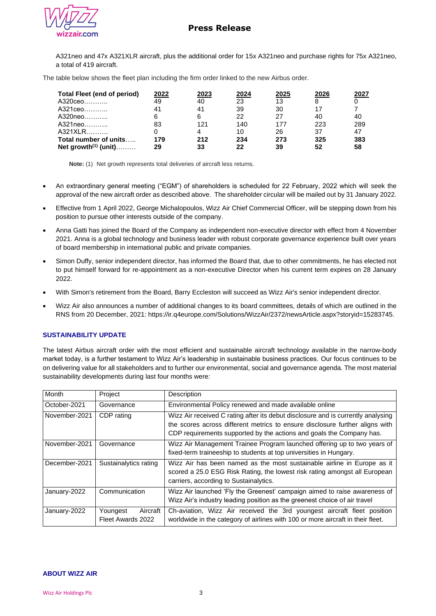

A321neo and 47x A321XLR aircraft, plus the additional order for 15x A321neo and purchase rights for 75x A321neo, a total of 419 aircraft.

The table below shows the fleet plan including the firm order linked to the new Airbus order.

| <b>Total Fleet (end of period)</b> | 2022 | 2023 | 2024 | 2025 | 2026 | 2027 |
|------------------------------------|------|------|------|------|------|------|
| A320ceo                            | 49   | 40   | 23   | 13   |      |      |
| A321ceo                            | 41   | 41   | 39   | 30   |      |      |
| A320neo…………                        |      | 6    | 22   | 27   | 40   | 40   |
| A321neo…………                        | 83   | 121  | 140  | 177  | 223  | 289  |
| A321XLR                            |      |      | 10   | 26   | 37   | 47   |
| Total number of units              | 179  | 212  | 234  | 273  | 325  | 383  |
| Net growth <sup>(1)</sup> (unit)   | 29   | 33   | 22   | 39   | 52   | 58   |

**Note:** (1) Net growth represents total deliveries of aircraft less returns.

- An extraordinary general meeting ("EGM") of shareholders is scheduled for 22 February, 2022 which will seek the approval of the new aircraft order as described above. The shareholder circular will be mailed out by 31 January 2022.
- Effective from 1 April 2022, George Michalopoulos, Wizz Air Chief Commercial Officer, will be stepping down from his position to pursue other interests outside of the company.
- Anna Gatti has joined the Board of the Company as independent non-executive director with effect from 4 November 2021. Anna is a global technology and business leader with robust corporate governance experience built over years of board membership in international public and private companies.
- Simon Duffy, senior independent director, has informed the Board that, due to other commitments, he has elected not to put himself forward for re-appointment as a non-executive Director when his current term expires on 28 January 2022.
- With Simon's retirement from the Board, Barry Eccleston will succeed as Wizz Air's senior independent director.
- Wizz Air also announces a number of additional changes to its board committees, details of which are outlined in the RNS from 20 December, 2021: https://ir.q4europe.com/Solutions/WizzAir/2372/newsArticle.aspx?storyid=15283745.

# **SUSTAINABILITY UPDATE**

The latest Airbus aircraft order with the most efficient and sustainable aircraft technology available in the narrow-body market today, is a further testament to Wizz Air's leadership in sustainable business practices. Our focus continues to be on delivering value for all stakeholders and to further our environmental, social and governance agenda. The most material sustainability developments during last four months were:

| Month         | Project                                   | Description                                                                                                                                                                                                                              |
|---------------|-------------------------------------------|------------------------------------------------------------------------------------------------------------------------------------------------------------------------------------------------------------------------------------------|
| October-2021  | Governance                                | Environmental Policy renewed and made available online                                                                                                                                                                                   |
| November-2021 | CDP rating                                | Wizz Air received C rating after its debut disclosure and is currently analysing<br>the scores across different metrics to ensure disclosure further aligns with<br>CDP requirements supported by the actions and goals the Company has. |
| November-2021 | Governance                                | Wizz Air Management Trainee Program launched offering up to two years of<br>fixed-term traineeship to students at top universities in Hungary.                                                                                           |
| December-2021 | Sustainalytics rating                     | Wizz Air has been named as the most sustainable airline in Europe as it<br>scored a 25.0 ESG Risk Rating, the lowest risk rating amongst all European<br>carriers, according to Sustainalytics.                                          |
| January-2022  | Communication                             | Wizz Air launched 'Fly the Greenest' campaign aimed to raise awareness of<br>Wizz Air's industry leading position as the greenest choice of air travel                                                                                   |
| January-2022  | Aircraft<br>Youngest<br>Fleet Awards 2022 | Ch-aviation, Wizz Air received the 3rd youngest aircraft fleet position<br>worldwide in the category of airlines with 100 or more aircraft in their fleet.                                                                               |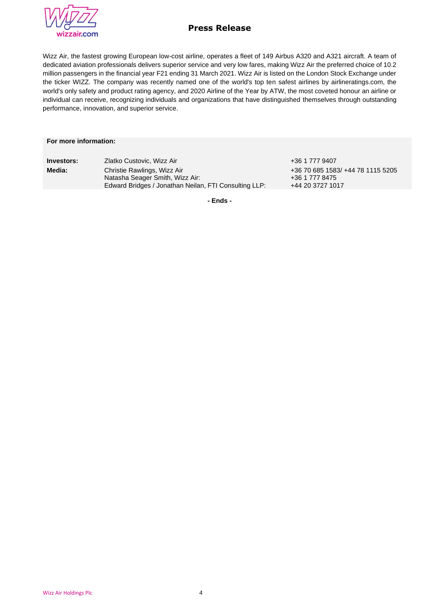

Wizz Air, the fastest growing European low-cost airline, operates a fleet of 149 Airbus A320 and A321 aircraft. A team of dedicated aviation professionals delivers superior service and very low fares, making Wizz Air the preferred choice of 10.2 million passengers in the financial year F21 ending 31 March 2021. Wizz Air is listed on the London Stock Exchange under the ticker WIZZ. The company was recently named one of the world's top ten safest airlines by airlineratings.com, the world's only safety and product rating agency, and 2020 Airline of the Year by ATW, the most coveted honour an airline or individual can receive, recognizing individuals and organizations that have distinguished themselves through outstanding performance, innovation, and superior service.

## **For more information:**

| Investors: | Zlatko Custovic, Wizz Air                                                                                               |
|------------|-------------------------------------------------------------------------------------------------------------------------|
| Media:     | Christie Rawlings, Wizz Air<br>Natasha Seager Smith, Wizz Air:<br>Edward Bridges / Jonathan Neilan, FTI Consulting LLP: |

**Investors:** Zlatko Custovic, Wizz Air +36 1 777 9407 +36 70 685 1583/ +44 78 1115 5205 +36 1 777 8475 +44 20 3727 1017

**- Ends -**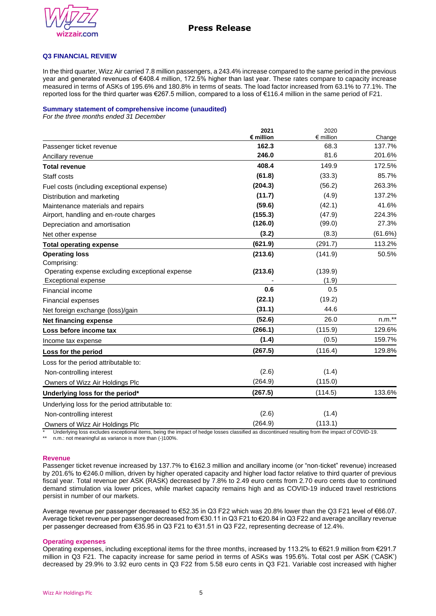

## **Q3 FINANCIAL REVIEW**

In the third quarter, Wizz Air carried 7.8 million passengers, a 243.4% increase compared to the same period in the previous year and generated revenues of €408.4 million, 172.5% higher than last year. These rates compare to capacity increase measured in terms of ASKs of 195.6% and 180.8% in terms of seats. The load factor increased from 63.1% to 77.1%. The reported loss for the third quarter was €267.5 million, compared to a loss of €116.4 million in the same period of F21.

### **Summary statement of comprehensive income (unaudited)**

*For the three months ended 31 December*

|                                                 | 2021<br>€ million | 2020<br>$\epsilon$ million | Change  |
|-------------------------------------------------|-------------------|----------------------------|---------|
| Passenger ticket revenue                        | 162.3             | 68.3                       | 137.7%  |
| Ancillary revenue                               | 246.0             | 81.6                       | 201.6%  |
| <b>Total revenue</b>                            | 408.4             | 149.9                      | 172.5%  |
| Staff costs                                     | (61.8)            | (33.3)                     | 85.7%   |
| Fuel costs (including exceptional expense)      | (204.3)           | (56.2)                     | 263.3%  |
| Distribution and marketing                      | (11.7)            | (4.9)                      | 137.2%  |
| Maintenance materials and repairs               | (59.6)            | (42.1)                     | 41.6%   |
| Airport, handling and en-route charges          | (155.3)           | (47.9)                     | 224.3%  |
| Depreciation and amortisation                   | (126.0)           | (99.0)                     | 27.3%   |
| Net other expense                               | (3.2)             | (8.3)                      | (61.6%) |
| <b>Total operating expense</b>                  | (621.9)           | (291.7)                    | 113.2%  |
| <b>Operating loss</b>                           | (213.6)           | (141.9)                    | 50.5%   |
| Comprising:                                     |                   |                            |         |
| Operating expense excluding exceptional expense | (213.6)           | (139.9)                    |         |
| <b>Exceptional expense</b>                      |                   | (1.9)                      |         |
| Financial income                                | 0.6               | 0.5                        |         |
| <b>Financial expenses</b>                       | (22.1)            | (19.2)                     |         |
| Net foreign exchange (loss)/gain                | (31.1)            | 44.6                       |         |
| <b>Net financing expense</b>                    | (52.6)            | 26.0                       | $n.m.*$ |
| Loss before income tax                          | (266.1)           | (115.9)                    | 129.6%  |
| Income tax expense                              | (1.4)             | (0.5)                      | 159.7%  |
| Loss for the period                             | (267.5)           | (116.4)                    | 129.8%  |
| Loss for the period attributable to:            |                   |                            |         |
| Non-controlling interest                        | (2.6)             | (1.4)                      |         |
| Owners of Wizz Air Holdings Plc                 | (264.9)           | (115.0)                    |         |
| Underlying loss for the period*                 | (267.5)           | (114.5)                    | 133.6%  |
| Underlying loss for the period attributable to: |                   |                            |         |
| Non-controlling interest                        | (2.6)             | (1.4)                      |         |
| Owners of Wizz Air Holdings Plc                 | (264.9)           | (113.1)                    |         |

\* Underlying loss excludes exceptional items, being the impact of hedge losses classified as discontinued resulting from the impact of COVID-19.<br>\*\* p.m.i.not monipoliul as variance is more than (1100%)

n.m.: not meaningful as variance is more than (-)100%.

#### **Revenue**

Passenger ticket revenue increased by 137.7% to €162.3 million and ancillary income (or "non-ticket" revenue) increased by 201.6% to €246.0 million, driven by higher operated capacity and higher load factor relative to third quarter of previous fiscal year. Total revenue per ASK (RASK) decreased by 7.8% to 2.49 euro cents from 2.70 euro cents due to continued demand stimulation via lower prices, while market capacity remains high and as COVID-19 induced travel restrictions persist in number of our markets.

Average revenue per passenger decreased to €52.35 in Q3 F22 which was 20.8% lower than the Q3 F21 level of €66.07. Average ticket revenue per passenger decreased from €30.11 in Q3 F21 to €20.84 in Q3 F22 and average ancillary revenue per passenger decreased from €35.95 in Q3 F21 to €31.51 in Q3 F22, representing decrease of 12.4%.

#### **Operating expenses**

Operating expenses, including exceptional items for the three months, increased by 113.2% to €621.9 million from €291.7 million in Q3 F21. The capacity increase for same period in terms of ASKs was 195.6%. Total cost per ASK ('CASK') decreased by 29.9% to 3.92 euro cents in Q3 F22 from 5.58 euro cents in Q3 F21. Variable cost increased with higher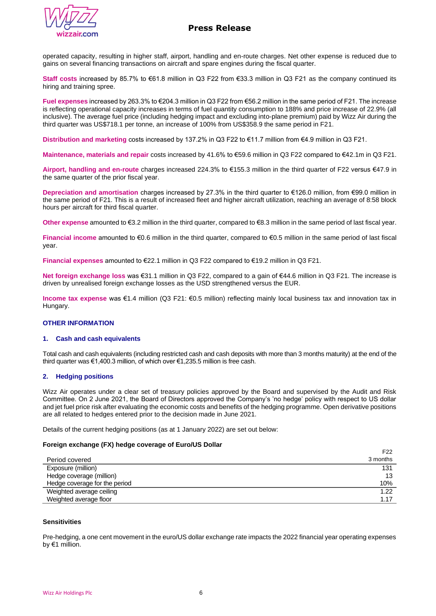

operated capacity, resulting in higher staff, airport, handling and en-route charges. Net other expense is reduced due to gains on several financing transactions on aircraft and spare engines during the fiscal quarter.

**Staff costs** increased by 85.7% to €61.8 million in Q3 F22 from €33.3 million in Q3 F21 as the company continued its hiring and training spree.

**Fuel expenses** increased by 263.3% to €204.3 million in Q3 F22 from €56.2 million in the same period of F21. The increase is reflecting operational capacity increases in terms of fuel quantity consumption to 188% and price increase of 22.9% (all inclusive). The average fuel price (including hedging impact and excluding into-plane premium) paid by Wizz Air during the third quarter was US\$718.1 per tonne, an increase of 100% from US\$358.9 the same period in F21.

**Distribution and marketing** costs increased by 137.2% in Q3 F22 to €11.7 million from €4.9 million in Q3 F21.

**Maintenance, materials and repair** costs increased by 41.6% to €59.6 million in Q3 F22 compared to €42.1m in Q3 F21.

**Airport, handling and en-route** charges increased 224.3% to €155.3 million in the third quarter of F22 versus €47.9 in the same quarter of the prior fiscal year.

**Depreciation and amortisation** charges increased by 27.3% in the third quarter to €126.0 million, from €99.0 million in the same period of F21. This is a result of increased fleet and higher aircraft utilization, reaching an average of 8:58 block hours per aircraft for third fiscal quarter.

**Other expense** amounted to €3.2 million in the third quarter, compared to €8.3 million in the same period of last fiscal year.

**Financial income** amounted to €0.6 million in the third quarter, compared to €0.5 million in the same period of last fiscal year.

**Financial expenses** amounted to €22.1 million in Q3 F22 compared to €19.2 million in Q3 F21.

**Net foreign exchange loss** was €31.1 million in Q3 F22, compared to a gain of €44.6 million in Q3 F21. The increase is driven by unrealised foreign exchange losses as the USD strengthened versus the EUR.

**Income tax expense** was €1.4 million (Q3 F21: €0.5 million) reflecting mainly local business tax and innovation tax in Hungary.

## **OTHER INFORMATION**

#### **1. Cash and cash equivalents**

Total cash and cash equivalents (including restricted cash and cash deposits with more than 3 months maturity) at the end of the third quarter was €1,400.3 million, of which over €1,235.5 million is free cash.

### **2. Hedging positions**

Wizz Air operates under a clear set of treasury policies approved by the Board and supervised by the Audit and Risk Committee. On 2 June 2021, the Board of Directors approved the Company's 'no hedge' policy with respect to US dollar and jet fuel price risk after evaluating the economic costs and benefits of the hedging programme. Open derivative positions are all related to hedges entered prior to the decision made in June 2021.

Details of the current hedging positions (as at 1 January 2022) are set out below:

### **Foreign exchange (FX) hedge coverage of Euro/US Dollar**

|                               | F <sub>22</sub> |
|-------------------------------|-----------------|
| Period covered                | 3 months        |
| Exposure (million)            | 131             |
| Hedge coverage (million)      | 13              |
| Hedge coverage for the period | 10%             |
| Weighted average ceiling      | 1.22            |
| Weighted average floor        | 1.17            |

#### **Sensitivities**

Pre-hedging, a one cent movement in the euro/US dollar exchange rate impacts the 2022 financial year operating expenses by €1 million.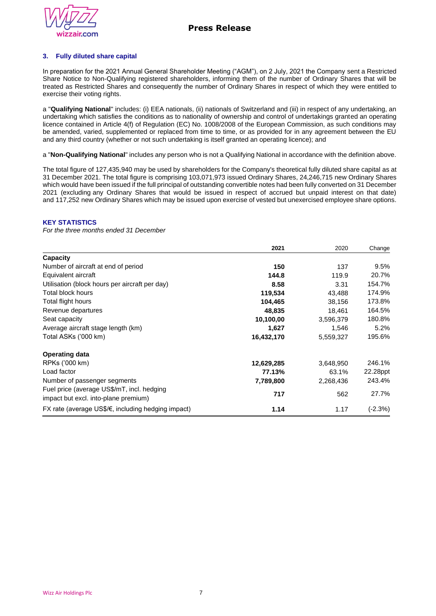

# **3. Fully diluted share capital**

In preparation for the 2021 Annual General Shareholder Meeting ("AGM"), on 2 July, 2021 the Company sent a Restricted Share Notice to Non-Qualifying registered shareholders, informing them of the number of Ordinary Shares that will be treated as Restricted Shares and consequently the number of Ordinary Shares in respect of which they were entitled to exercise their voting rights.

a "**Qualifying National**" includes: (i) EEA nationals, (ii) nationals of Switzerland and (iii) in respect of any undertaking, an undertaking which satisfies the conditions as to nationality of ownership and control of undertakings granted an operating licence contained in Article 4(f) of Regulation (EC) No. 1008/2008 of the European Commission, as such conditions may be amended, varied, supplemented or replaced from time to time, or as provided for in any agreement between the EU and any third country (whether or not such undertaking is itself granted an operating licence); and

a "**Non-Qualifying National**" includes any person who is not a Qualifying National in accordance with the definition above.

The total figure of 127,435,940 may be used by shareholders for the Company's theoretical fully diluted share capital as at 31 December 2021. The total figure is comprising 103,071,973 issued Ordinary Shares, 24,246,715 new Ordinary Shares which would have been issued if the full principal of outstanding convertible notes had been fully converted on 31 December 2021 (excluding any Ordinary Shares that would be issued in respect of accrued but unpaid interest on that date) and 117,252 new Ordinary Shares which may be issued upon exercise of vested but unexercised employee share options.

## **KEY STATISTICS**

*For the three months ended 31 December*

|                                                                                    | 2021       | 2020      | Change    |
|------------------------------------------------------------------------------------|------------|-----------|-----------|
| Capacity                                                                           |            |           |           |
| Number of aircraft at end of period                                                | 150        | 137       | 9.5%      |
| Equivalent aircraft                                                                | 144.8      | 119.9     | 20.7%     |
| Utilisation (block hours per aircraft per day)                                     | 8.58       | 3.31      | 154.7%    |
| Total block hours                                                                  | 119,534    | 43,488    | 174.9%    |
| Total flight hours                                                                 | 104,465    | 38,156    | 173.8%    |
| Revenue departures                                                                 | 48,835     | 18,461    | 164.5%    |
| Seat capacity                                                                      | 10,100,00  | 3,596,379 | 180.8%    |
| Average aircraft stage length (km)                                                 | 1,627      | 1,546     | 5.2%      |
| Total ASKs ('000 km)                                                               | 16,432,170 | 5,559,327 | 195.6%    |
| <b>Operating data</b>                                                              |            |           |           |
| RPKs ('000 km)                                                                     | 12,629,285 | 3,648,950 | 246.1%    |
| Load factor                                                                        | 77.13%     | 63.1%     | 22.28ppt  |
| Number of passenger segments                                                       | 7,789,800  | 2,268,436 | 243.4%    |
| Fuel price (average US\$/mT, incl. hedging<br>impact but excl. into-plane premium) | 717        | 562       | 27.7%     |
| $FX$ rate (average US\$/ $\notin$ , including hedging impact)                      | 1.14       | 1.17      | $(-2.3%)$ |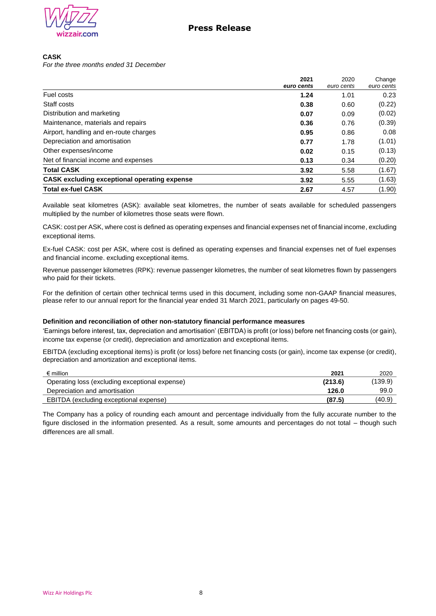

## **CASK**

*For the three months ended 31 December*

|                                                     | 2021<br>euro cents | 2020<br>euro cents | Change<br>euro cents |
|-----------------------------------------------------|--------------------|--------------------|----------------------|
| Fuel costs                                          | 1.24               | 1.01               | 0.23                 |
| Staff costs                                         | 0.38               | 0.60               | (0.22)               |
| Distribution and marketing                          | 0.07               | 0.09               | (0.02)               |
| Maintenance, materials and repairs                  | 0.36               | 0.76               | (0.39)               |
| Airport, handling and en-route charges              | 0.95               | 0.86               | 0.08                 |
| Depreciation and amortisation                       | 0.77               | 1.78               | (1.01)               |
| Other expenses/income                               | 0.02               | 0.15               | (0.13)               |
| Net of financial income and expenses                | 0.13               | 0.34               | (0.20)               |
| <b>Total CASK</b>                                   | 3.92               | 5.58               | (1.67)               |
| <b>CASK excluding exceptional operating expense</b> | 3.92               | 5.55               | (1.63)               |
| <b>Total ex-fuel CASK</b>                           | 2.67               | 4.57               | (1.90)               |

Available seat kilometres (ASK): available seat kilometres, the number of seats available for scheduled passengers multiplied by the number of kilometres those seats were flown.

CASK: cost per ASK, where cost is defined as operating expenses and financial expenses net of financial income, excluding exceptional items.

Ex-fuel CASK: cost per ASK, where cost is defined as operating expenses and financial expenses net of fuel expenses and financial income. excluding exceptional items.

Revenue passenger kilometres (RPK): revenue passenger kilometres, the number of seat kilometres flown by passengers who paid for their tickets.

For the definition of certain other technical terms used in this document, including some non-GAAP financial measures, please refer to our annual report for the financial year ended 31 March 2021, particularly on pages 49-50.

### **Definition and reconciliation of other non-statutory financial performance measures**

'Earnings before interest, tax, depreciation and amortisation' (EBITDA) is profit (or loss) before net financing costs (or gain), income tax expense (or credit), depreciation and amortization and exceptional items.

EBITDA (excluding exceptional items) is profit (or loss) before net financing costs (or gain), income tax expense (or credit), depreciation and amortization and exceptional items.

| $\epsilon$ million                             | 2021    | 2020    |
|------------------------------------------------|---------|---------|
| Operating loss (excluding exceptional expense) | (213.6) | (139.9) |
| Depreciation and amortisation                  | 126.0   | 99.C    |
| EBITDA (excluding exceptional expense)         | (87.5)  | (40.9)  |

The Company has a policy of rounding each amount and percentage individually from the fully accurate number to the figure disclosed in the information presented. As a result, some amounts and percentages do not total – though such differences are all small.